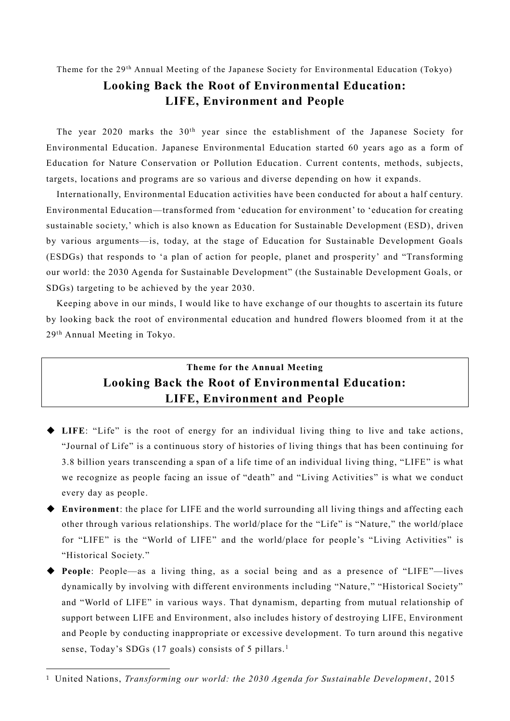## Theme for the 29<sup>th</sup> Annual Meeting of the Japanese Society for Environmental Education (Tokyo) **Looking Back the Root of Environmental Education: LIFE, Environment and People**

The year 2020 marks the  $30<sup>th</sup>$  year since the establishment of the Japanese Society for Environmental Education. Japanese Environmental Education started 60 years ago as a form of Education for Nature Conservation or Pollution Education . Current contents, methods, subjects, targets, locations and programs are so various and diverse depending on how it expands.

Internationally, Environmental Education activities have been conducted for about a half century. Environmental Education—transformed from 'education for environment' to 'education for creating sustainable society,' which is also known as Education for Sustainable Development (ESD), driven by various arguments—is, today, at the stage of Education for Sustainable Development Goals (ESDGs) that responds to 'a plan of action for people, planet and prosperity' and "Transforming our world: the 2030 Agenda for Sustainable Development" (the Sustainable Development Goals, or SDGs) targeting to be achieved by the year 2030.

Keeping above in our minds, I would like to have exchange of our thoughts to ascertain its future by looking back the root of environmental education and hundred flowers bloomed from it at the 29th Annual Meeting in Tokyo.

## **Theme for the Annual Meeting Looking Back the Root of Environmental Education: LIFE, Environment and People**

- ◆ **LIFE**: "Life" is the root of energy for an individual living thing to live and take actions, "Journal of Life" is a continuous story of histories of living things that has been continuing for 3.8 billion years transcending a span of a life time of an individual living thing, "LIFE" is what we recognize as people facing an issue of "death" and "Living Activities" is what we conduct every day as people.
- ◆ **Environment**: the place for LIFE and the world surrounding all living things and affecting each other through various relationships. The world/place for the "Life" is "Nature," the world/place for "LIFE" is the "World of LIFE" and the world/place for people's "Living Activities" is "Historical Society."
- ◆ **People**: People—as a living thing, as a social being and as a presence of "LIFE"—lives dynamically by involving with different environments including "Nature," "Historical Society" and "World of LIFE" in various ways. That dynamism, departing from mutual relationship of support between LIFE and Environment, also includes history of destroying LIFE, Environment and People by conducting inappropriate or excessive development. To turn around this negative sense, Today's SDGs (17 goals) consists of 5 pillars.<sup>1</sup>

l

<sup>1</sup> United Nations, *Transforming our world: the 2030 Agenda for Sustainable Development*, 2015